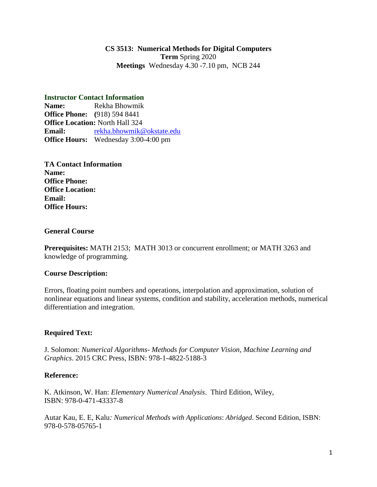## **CS 3513: Numerical Methods for Digital Computers Term** Spring 2020 **Meetings** Wednesday 4.30 -7.10 pm, NCB 244

# **Instructor Contact Information**

**Name:** Rekha Bhowmik **Office Phone: (**918) 594 8441 **Office Location:** North Hall 324 **Email:** [rekha.bhowmik@okstate.edu](mailto:rekha.bhowmik@okstate.edu) **Office Hours:** Wednesday 3:00-4:00 pm

**TA Contact Information Name: Office Phone: Office Location: Email: Office Hours:**

#### **General Course**

**Prerequisites:** MATH 2153; MATH 3013 or concurrent enrollment; or MATH 3263 and knowledge of programming.

### **Course Description:**

Errors, floating point numbers and operations, interpolation and approximation, solution of nonlinear equations and linear systems, condition and stability, acceleration methods, numerical differentiation and integration.

### **Required Text:**

J. Solomon: *Numerical Algorithms- Methods for Computer Vision, Machine Learning and Graphics*. 2015 CRC Press, ISBN: 978-1-4822-5188-3

### **Reference:**

K. Atkinson, W. Han: *Elementary Numerical Analysis*. Third Edition, Wiley, ISBN: 978-0-471-43337-8

Autar Kau, E. E, Kalu*: Numerical Methods with Applications*: *Abridged*. Second Edition, ISBN: 978-0-578-05765-1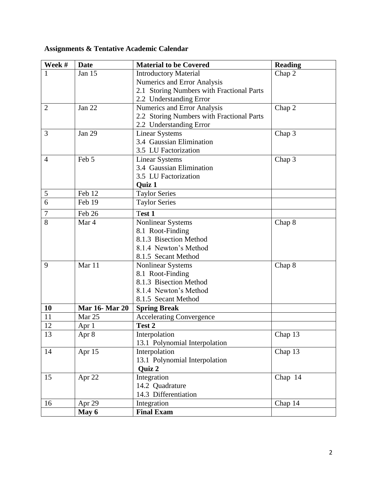| Week #          | <b>Date</b>           | <b>Material to be Covered</b>             | <b>Reading</b>       |
|-----------------|-----------------------|-------------------------------------------|----------------------|
| 1               | Jan 15                | <b>Introductory Material</b>              | Chap 2               |
|                 |                       | Numerics and Error Analysis               |                      |
|                 |                       | 2.1 Storing Numbers with Fractional Parts |                      |
|                 |                       | 2.2 Understanding Error                   |                      |
| 2               | Jan 22                | Numerics and Error Analysis               | Chap 2               |
|                 |                       | 2.2 Storing Numbers with Fractional Parts |                      |
|                 |                       | 2.2 Understanding Error                   |                      |
| 3               | Jan 29                | <b>Linear Systems</b>                     | Chap 3               |
|                 |                       | 3.4 Gaussian Elimination                  |                      |
|                 |                       | 3.5 LU Factorization                      |                      |
| $\overline{4}$  | Feb 5                 | <b>Linear Systems</b>                     | Chap 3               |
|                 |                       | 3.4 Gaussian Elimination                  |                      |
|                 |                       | 3.5 LU Factorization                      |                      |
|                 |                       | Quiz 1                                    |                      |
| 5               | Feb 12                | <b>Taylor Series</b>                      |                      |
| 6               | Feb 19                | <b>Taylor Series</b>                      |                      |
| $\overline{7}$  | Feb 26                | Test 1                                    |                      |
| 8               | Mar 4                 | <b>Nonlinear Systems</b>                  | Chap 8               |
|                 |                       | 8.1 Root-Finding                          |                      |
|                 |                       | 8.1.3 Bisection Method                    |                      |
|                 |                       | 8.1.4 Newton's Method                     |                      |
|                 |                       | 8.1.5 Secant Method                       |                      |
| 9               | Mar 11                | <b>Nonlinear Systems</b>                  | Chap 8               |
|                 |                       | 8.1 Root-Finding                          |                      |
|                 |                       | 8.1.3 Bisection Method                    |                      |
|                 |                       | 8.1.4 Newton's Method                     |                      |
|                 |                       | 8.1.5 Secant Method                       |                      |
| 10              | <b>Mar 16- Mar 20</b> | <b>Spring Break</b>                       |                      |
| $\overline{11}$ | Mar 25                | <b>Accelerating Convergence</b>           |                      |
| 12              | Apr 1                 | Test 2                                    |                      |
| 13              | Apr 8                 | Interpolation                             | $\overline{Chap}$ 13 |
|                 |                       | 13.1 Polynomial Interpolation             |                      |
| 14              | Apr 15                | Interpolation                             | Chap 13              |
|                 |                       | 13.1 Polynomial Interpolation             |                      |
|                 |                       | <b>Quiz 2</b>                             |                      |
| 15              | Apr 22                | Integration                               | Chap 14              |
|                 |                       | 14.2 Quadrature                           |                      |
|                 |                       | 14.3 Differentiation                      |                      |
| 16              | Apr 29                | Integration                               | Chap 14              |
|                 | May 6                 | <b>Final Exam</b>                         |                      |

# **Assignments & Tentative Academic Calendar**